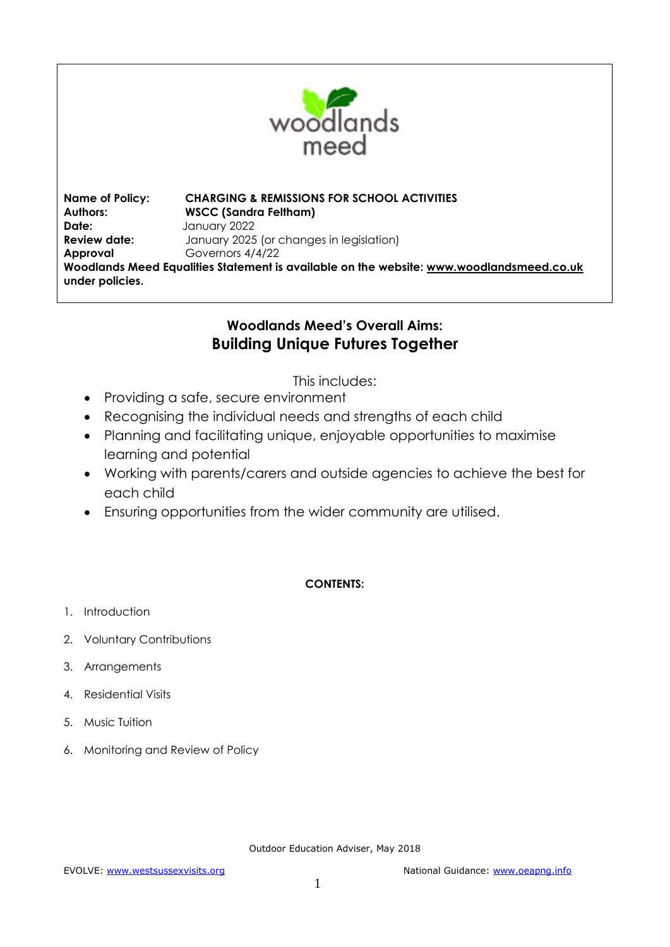

**Name of Policy: CHARGING & REMISSIONS FOR SCHOOL ACTIVITIES Authors: WSCC (Sandra Feltham) Date:** January 2022 **Review date:** January 2025 (or changes in legislation) **Approval** Governors 4/4/22 **Woodlands Meed Equalities Statement is available on the website: [www.woodlandsmeed.co.uk](http://www.woodlandsmeed.co.uk/) under policies.** 

# **Woodlands Meed's Overall Aims: Building Unique Futures Together**

This includes:

- Providing a safe, secure environment
- Recognising the individual needs and strengths of each child
- Planning and facilitating unique, enjoyable opportunities to maximise learning and potential
- Working with parents/carers and outside agencies to achieve the best for each child
- Ensuring opportunities from the wider community are utilised.

# **CONTENTS:**

- 1. Introduction
- 2. Voluntary Contributions
- 3. Arrangements
- 4. Residential Visits
- 5. Music Tuition
- 6. Monitoring and Review of Policy

Outdoor Education Adviser, May 2018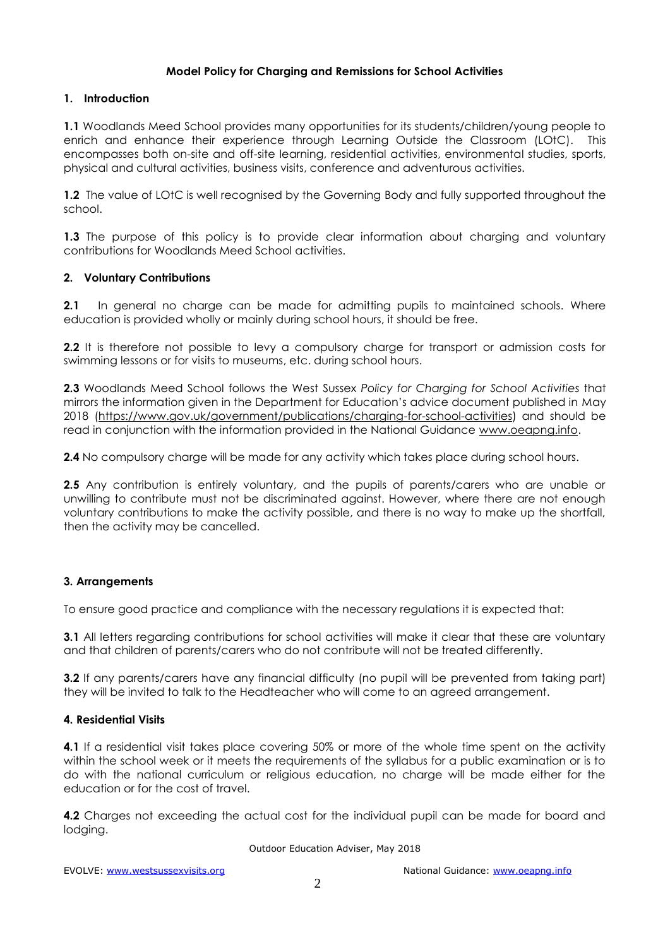# **Model Policy for Charging and Remissions for School Activities**

#### **1. Introduction**

**1.1** Woodlands Meed School provides many opportunities for its students/children/young people to enrich and enhance their experience through Learning Outside the Classroom (LOtC). This encompasses both on-site and off-site learning, residential activities, environmental studies, sports, physical and cultural activities, business visits, conference and adventurous activities.

**1.2** The value of LOtC is well recognised by the Governing Body and fully supported throughout the school.

**1.3** The purpose of this policy is to provide clear information about charging and voluntary contributions for Woodlands Meed School activities.

#### **2. Voluntary Contributions**

**2.1** In general no charge can be made for admitting pupils to maintained schools. Where education is provided wholly or mainly during school hours, it should be free.

**2.2** It is therefore not possible to levy a compulsory charge for transport or admission costs for swimming lessons or for visits to museums, etc. during school hours.

**2.3** Woodlands Meed School follows the West Sussex *Policy for Charging for School Activities* that mirrors the information given in the Department for Education's advice document published in May 2018 [\(https://www.gov.uk/government/publications/charging-for-school-activities\)](https://www.gov.uk/government/publications/charging-for-school-activities) and should be read in conjunction with the information provided in the National Guidance [www.oeapng.info.](http://www.oeapng.info/)

**2.4** No compulsory charge will be made for any activity which takes place during school hours.

2.5 Any contribution is entirely voluntary, and the pupils of parents/carers who are unable or unwilling to contribute must not be discriminated against. However, where there are not enough voluntary contributions to make the activity possible, and there is no way to make up the shortfall, then the activity may be cancelled.

# **3. Arrangements**

To ensure good practice and compliance with the necessary regulations it is expected that:

**3.1** All letters regarding contributions for school activities will make it clear that these are voluntary and that children of parents/carers who do not contribute will not be treated differently.

**3.2** If any parents/carers have any financial difficulty (no pupil will be prevented from taking part) they will be invited to talk to the Headteacher who will come to an agreed arrangement.

#### **4. Residential Visits**

**4.1** If a residential visit takes place covering 50% or more of the whole time spent on the activity within the school week or it meets the requirements of the syllabus for a public examination or is to do with the national curriculum or religious education, no charge will be made either for the education or for the cost of travel.

**4.2** Charges not exceeding the actual cost for the individual pupil can be made for board and lodging.

Outdoor Education Adviser, May 2018